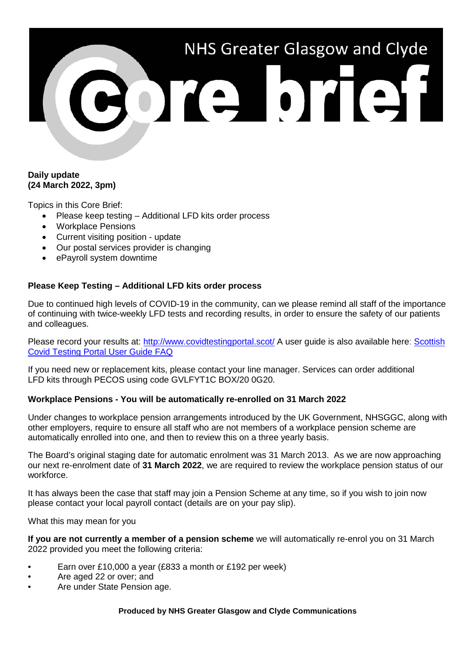# NHS Greater Glasgow and Clyde

# **Daily update (24 March 2022, 3pm)**

Topics in this Core Brief:

- Please keep testing Additional LFD kits order process
- Workplace Pensions
- Current visiting position update
- Our postal services provider is changing
- ePayroll system downtime

# **Please Keep Testing – Additional LFD kits order process**

Due to continued high levels of COVID-19 in the community, can we please remind all staff of the importance of continuing with twice-weekly LFD tests and recording results, in order to ensure the safety of our patients and colleagues.

Please record your results at:<http://www.covidtestingportal.scot/> A user guide is also available here: Scottish [Covid Testing Portal User Guide FAQ](https://www.nhsggc.org.uk/media/265852/user-reg-guide.pdf)

If you need new or replacement kits, please contact your line manager. Services can order additional LFD kits through PECOS using code GVLFYT1C BOX/20 0G20.

## **Workplace Pensions - You will be automatically re-enrolled on 31 March 2022**

Under changes to workplace pension arrangements introduced by the UK Government, NHSGGC, along with other employers, require to ensure all staff who are not members of a workplace pension scheme are automatically enrolled into one, and then to review this on a three yearly basis.

The Board's original staging date for automatic enrolment was 31 March 2013. As we are now approaching our next re-enrolment date of **31 March 2022**, we are required to review the workplace pension status of our workforce.

It has always been the case that staff may join a Pension Scheme at any time, so if you wish to join now please contact your local payroll contact (details are on your pay slip).

What this may mean for you

**If you are not currently a member of a pension scheme** we will automatically re-enrol you on 31 March 2022 provided you meet the following criteria:

- Earn over £10,000 a year (£833 a month or £192 per week)
- Are aged 22 or over; and
- Are under State Pension age.

### **Produced by NHS Greater Glasgow and Clyde Communications**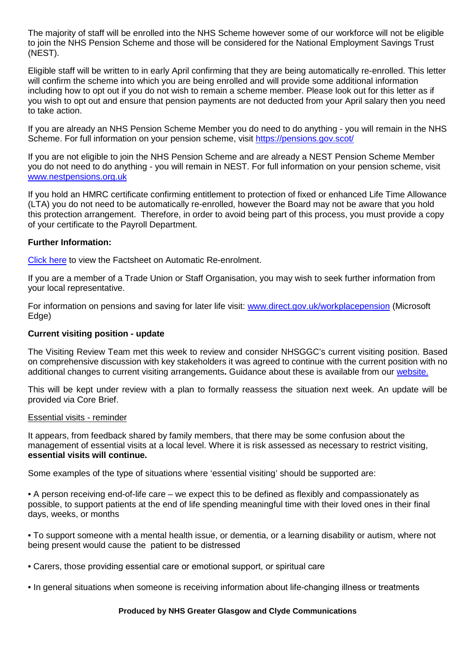The majority of staff will be enrolled into the NHS Scheme however some of our workforce will not be eligible to join the NHS Pension Scheme and those will be considered for the National Employment Savings Trust (NEST).

Eligible staff will be written to in early April confirming that they are being automatically re-enrolled. This letter will confirm the scheme into which you are being enrolled and will provide some additional information including how to opt out if you do not wish to remain a scheme member. Please look out for this letter as if you wish to opt out and ensure that pension payments are not deducted from your April salary then you need to take action.

If you are already an NHS Pension Scheme Member you do need to do anything - you will remain in the NHS Scheme. For full information on your pension scheme, visit<https://pensions.gov.scot/>

If you are not eligible to join the NHS Pension Scheme and are already a NEST Pension Scheme Member you do not need to do anything - you will remain in NEST. For full information on your pension scheme, visit [www.nestpensions.org.uk](http://www.nestpensions.org.uk/)

If you hold an HMRC certificate confirming entitlement to protection of fixed or enhanced Life Time Allowance (LTA) you do not need to be automatically re-enrolled, however the Board may not be aware that you hold this protection arrangement. Therefore, in order to avoid being part of this process, you must provide a copy of your certificate to the Payroll Department.

## **Further Information:**

[Click here](https://www.nhsggc.org.uk/media/271649/cb-pension-mar-2022-factsheet.pdf) to view the Factsheet on Automatic Re-enrolment.

If you are a member of a Trade Union or Staff Organisation, you may wish to seek further information from your local representative.

For information on pensions and saving for later life visit: [www.direct.gov.uk/workplacepension](http://www.direct.gov.uk/workplacepension) (Microsoft Edge)

## **Current visiting position - update**

The Visiting Review Team met this week to review and consider NHSGGC's current visiting position. Based on comprehensive discussion with key stakeholders it was agreed to continue with the current position with no additional changes to current visiting arrangements**.** Guidance about these is available from our [website.](https://www.nhsggc.scot/your-health/covid-19/patients-hospital-appointments-and-visiting/essential-visiting-faqs/)

This will be kept under review with a plan to formally reassess the situation next week. An update will be provided via Core Brief.

## Essential visits - reminder

It appears, from feedback shared by family members, that there may be some confusion about the management of essential visits at a local level. Where it is risk assessed as necessary to restrict visiting, **essential visits will continue.** 

Some examples of the type of situations where 'essential visiting' should be supported are:

• A person receiving end-of-life care – we expect this to be defined as flexibly and compassionately as possible, to support patients at the end of life spending meaningful time with their loved ones in their final days, weeks, or months

• To support someone with a mental health issue, or dementia, or a learning disability or autism, where not being present would cause the patient to be distressed 

• Carers, those providing essential care or emotional support, or spiritual care 

• In general situations when someone is receiving information about life-changing illness or treatments 

### **Produced by NHS Greater Glasgow and Clyde Communications**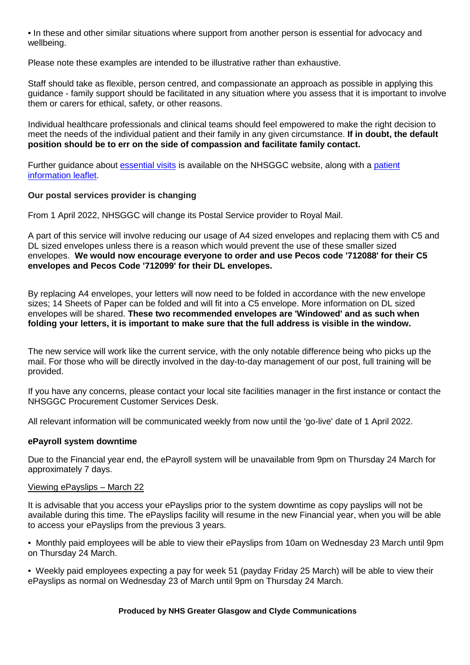• In these and other similar situations where support from another person is essential for advocacy and wellbeing.

Please note these examples are intended to be illustrative rather than exhaustive.

Staff should take as flexible, person centred, and compassionate an approach as possible in applying this guidance - family support should be facilitated in any situation where you assess that it is important to involve them or carers for ethical, safety, or other reasons.

Individual healthcare professionals and clinical teams should feel empowered to make the right decision to meet the needs of the individual patient and their family in any given circumstance. **If in doubt, the default position should be to err on the side of compassion and facilitate family contact.**

Further guidance about *essential visits* is available on the NHSGGC website, along with a patient [information leaflet.](https://www.nhsggc.org.uk/media/270354/2021125-pil-essential-visiting-only-v1d1.pdf)

## **Our postal services provider is changing**

From 1 April 2022, NHSGGC will change its Postal Service provider to Royal Mail.

A part of this service will involve reducing our usage of A4 sized envelopes and replacing them with C5 and DL sized envelopes unless there is a reason which would prevent the use of these smaller sized envelopes. **We would now encourage everyone to order and use Pecos code '712088' for their C5 envelopes and Pecos Code '712099' for their DL envelopes.** 

By replacing A4 envelopes, your letters will now need to be folded in accordance with the new envelope sizes; 14 Sheets of Paper can be folded and will fit into a C5 envelope. More information on DL sized envelopes will be shared. **These two recommended envelopes are 'Windowed' and as such when folding your letters, it is important to make sure that the full address is visible in the window.**

The new service will work like the current service, with the only notable difference being who picks up the mail. For those who will be directly involved in the day-to-day management of our post, full training will be provided.

If you have any concerns, please contact your local site facilities manager in the first instance or contact the NHSGGC Procurement Customer Services Desk.

All relevant information will be communicated weekly from now until the 'go-live' date of 1 April 2022.

### **ePayroll system downtime**

Due to the Financial year end, the ePayroll system will be unavailable from 9pm on Thursday 24 March for approximately 7 days.

### Viewing ePayslips – March 22

It is advisable that you access your ePayslips prior to the system downtime as copy payslips will not be available during this time. The ePayslips facility will resume in the new Financial year, when you will be able to access your ePayslips from the previous 3 years.

• Monthly paid employees will be able to view their ePayslips from 10am on Wednesday 23 March until 9pm on Thursday 24 March.

• Weekly paid employees expecting a pay for week 51 (payday Friday 25 March) will be able to view their ePayslips as normal on Wednesday 23 of March until 9pm on Thursday 24 March.

### **Produced by NHS Greater Glasgow and Clyde Communications**